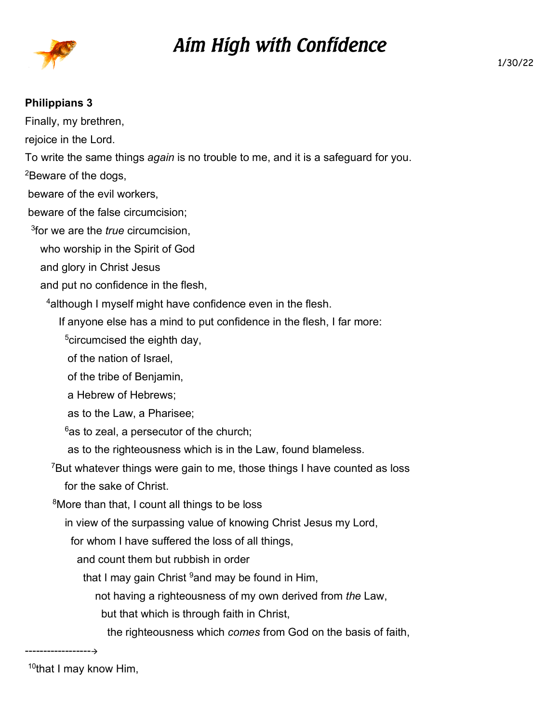

## *Aim High with Confidence*

## **Philippians 3**

Finally, my brethren, rejoice in the Lord. To write the same things *again* is no trouble to me, and it is a safeguard for you. <sup>2</sup>Beware of the dogs, beware of the evil workers, beware of the false circumcision; 3 for we are the *true* circumcision, who worship in the Spirit of God and glory in Christ Jesus and put no confidence in the flesh, <sup>4</sup> although I myself might have confidence even in the flesh. If anyone else has a mind to put confidence in the flesh, I far more: <sup>5</sup>circumcised the eighth day, of the nation of Israel, of the tribe of Benjamin, a Hebrew of Hebrews; as to the Law, a Pharisee;  $6$ as to zeal, a persecutor of the church; as to the righteousness which is in the Law, found blameless. <sup>7</sup>But whatever things were gain to me, those things I have counted as loss for the sake of Christ. <sup>8</sup>More than that, I count all things to be loss in view of the surpassing value of knowing Christ Jesus my Lord, for whom I have suffered the loss of all things, and count them but rubbish in order that I may gain Christ  $9$  and may be found in Him, not having a righteousness of my own derived from *the* Law, but that which is through faith in Christ, the righteousness which *comes* from God on the basis of faith,

------------------ <sup>10</sup>that I may know Him,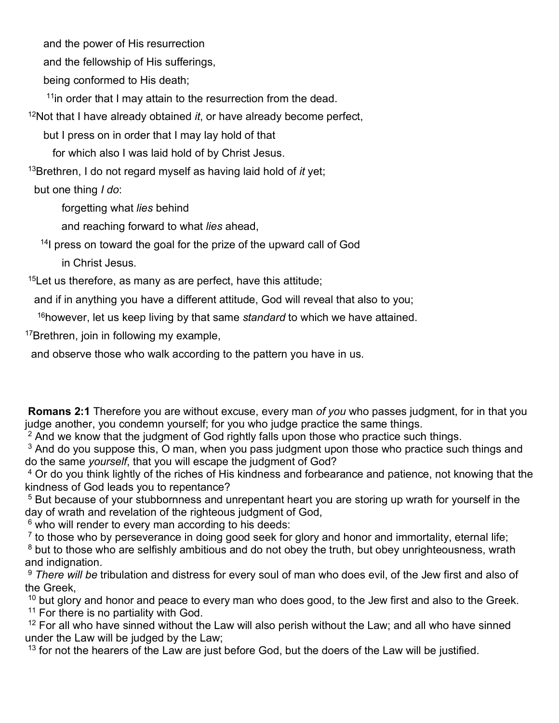and the power of His resurrection

and the fellowship of His sufferings,

being conformed to His death;

 $11$ in order that I may attain to the resurrection from the dead.

<sup>12</sup>Not that I have already obtained *it*, or have already become perfect,

but I press on in order that I may lay hold of that

for which also I was laid hold of by Christ Jesus.

<sup>13</sup>Brethren, I do not regard myself as having laid hold of *it* yet;

but one thing *I do*:

forgetting what *lies* behind

and reaching forward to what *lies* ahead,

<sup>14</sup>l press on toward the goal for the prize of the upward call of God in Christ Jesus.

 $15$ Let us therefore, as many as are perfect, have this attitude;

and if in anything you have a different attitude, God will reveal that also to you;

<sup>16</sup>however, let us keep living by that same *standard* to which we have attained.

<sup>17</sup>Brethren, join in following my example,

and observe those who walk according to the pattern you have in us.

 **Romans 2:1** Therefore you are without excuse, every man *of you* who passes judgment, for in that you judge another, you condemn yourself; for you who judge practice the same things.

<sup>2</sup> And we know that the judgment of God rightly falls upon those who practice such things.

 $^3$  And do you suppose this, O man, when you pass judgment upon those who practice such things and do the same *yourself*, that you will escape the judgment of God?

4 Or do you think lightly of the riches of His kindness and forbearance and patience, not knowing that the kindness of God leads you to repentance?

5 But because of your stubbornness and unrepentant heart you are storing up wrath for yourself in the day of wrath and revelation of the righteous judgment of God,

6 who will render to every man according to his deeds:

 $<sup>7</sup>$  to those who by perseverance in doing good seek for glory and honor and immortality, eternal life;</sup>

 $^8$  but to those who are selfishly ambitious and do not obey the truth, but obey unrighteousness, wrath and indignation.

<sup>9</sup> *There will be* tribulation and distress for every soul of man who does evil, of the Jew first and also of the Greek,

 $10$  but glory and honor and peace to every man who does good, to the Jew first and also to the Greek.  $11$  For there is no partiality with God.

 $12$  For all who have sinned without the Law will also perish without the Law; and all who have sinned under the Law will be judged by the Law;

 $13$  for not the hearers of the Law are just before God, but the doers of the Law will be justified.